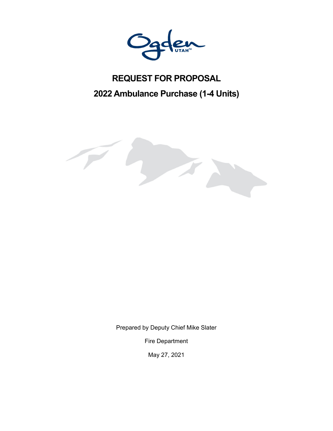

# **REQUEST FOR PROPOSAL 2022 Ambulance Purchase (1-4 Units)**



Prepared by Deputy Chief Mike Slater

Fire Department

May 27, 2021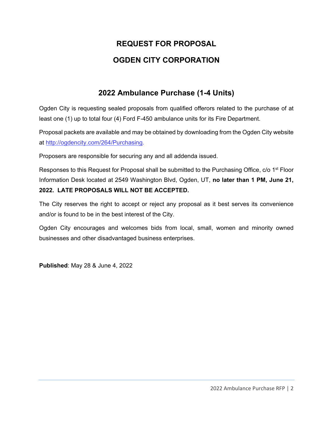# **REQUEST FOR PROPOSAL OGDEN CITY CORPORATION**

# **2022 Ambulance Purchase (1-4 Units)**

Ogden City is requesting sealed proposals from qualified offerors related to the purchase of at least one (1) up to total four (4) Ford F-450 ambulance units for its Fire Department.

Proposal packets are available and may be obtained by downloading from the Ogden City website at http://ogdencity.com/264/Purchasing.

Proposers are responsible for securing any and all addenda issued.

Responses to this Request for Proposal shall be submitted to the Purchasing Office, c/o 1<sup>st</sup> Floor Information Desk located at 2549 Washington Blvd, Ogden, UT, **no later than 1 PM, June 21, 2022. LATE PROPOSALS WILL NOT BE ACCEPTED.** 

The City reserves the right to accept or reject any proposal as it best serves its convenience and/or is found to be in the best interest of the City.

Ogden City encourages and welcomes bids from local, small, women and minority owned businesses and other disadvantaged business enterprises.

**Published**: May 28 & June 4, 2022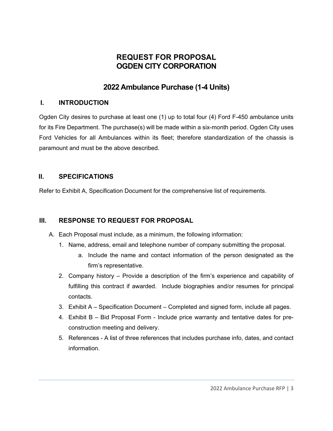# **REQUEST FOR PROPOSAL OGDEN CITY CORPORATION**

# **2022 Ambulance Purchase (1-4 Units)**

# **I. INTRODUCTION**

Ogden City desires to purchase at least one (1) up to total four (4) Ford F-450 ambulance units for its Fire Department. The purchase(s) will be made within a six-month period. Ogden City uses Ford Vehicles for all Ambulances within its fleet; therefore standardization of the chassis is paramount and must be the above described.

## **II. SPECIFICATIONS**

Refer to Exhibit A, Specification Document for the comprehensive list of requirements.

## **III. RESPONSE TO REQUEST FOR PROPOSAL**

- A. Each Proposal must include, as a minimum, the following information:
	- 1. Name, address, email and telephone number of company submitting the proposal.
		- a. Include the name and contact information of the person designated as the firm's representative.
	- 2. Company history Provide a description of the firm's experience and capability of fulfilling this contract if awarded. Include biographies and/or resumes for principal contacts.
	- 3. Exhibit A Specification Document Completed and signed form, include all pages.
	- 4. Exhibit B Bid Proposal Form Include price warranty and tentative dates for preconstruction meeting and delivery.
	- 5. References A list of three references that includes purchase info, dates, and contact information.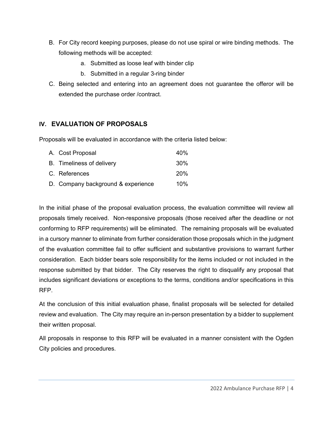- B. For City record keeping purposes, please do not use spiral or wire binding methods. The following methods will be accepted:
	- a. Submitted as loose leaf with binder clip
	- b. Submitted in a regular 3-ring binder
- C. Being selected and entering into an agreement does not guarantee the offeror will be extended the purchase order /contract.

# **IV. EVALUATION OF PROPOSALS**

Proposals will be evaluated in accordance with the criteria listed below:

| A. Cost Proposal                   | 40%        |
|------------------------------------|------------|
| B. Timeliness of delivery          | 30%        |
| C. References                      | <b>20%</b> |
| D. Company background & experience | 10%        |

In the initial phase of the proposal evaluation process, the evaluation committee will review all proposals timely received. Non-responsive proposals (those received after the deadline or not conforming to RFP requirements) will be eliminated. The remaining proposals will be evaluated in a cursory manner to eliminate from further consideration those proposals which in the judgment of the evaluation committee fail to offer sufficient and substantive provisions to warrant further consideration. Each bidder bears sole responsibility for the items included or not included in the response submitted by that bidder. The City reserves the right to disqualify any proposal that includes significant deviations or exceptions to the terms, conditions and/or specifications in this RFP.

At the conclusion of this initial evaluation phase, finalist proposals will be selected for detailed review and evaluation. The City may require an in-person presentation by a bidder to supplement their written proposal.

All proposals in response to this RFP will be evaluated in a manner consistent with the Ogden City policies and procedures.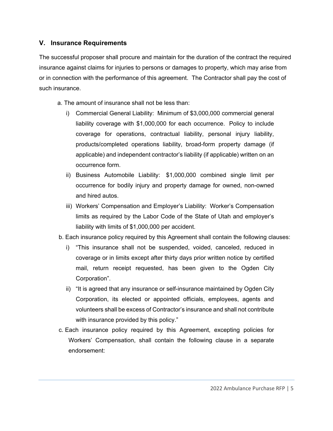#### **V. Insurance Requirements**

The successful proposer shall procure and maintain for the duration of the contract the required insurance against claims for injuries to persons or damages to property, which may arise from or in connection with the performance of this agreement. The Contractor shall pay the cost of such insurance.

a. The amount of insurance shall not be less than:

- i) Commercial General Liability: Minimum of \$3,000,000 commercial general liability coverage with \$1,000,000 for each occurrence. Policy to include coverage for operations, contractual liability, personal injury liability, products/completed operations liability, broad-form property damage (if applicable) and independent contractor's liability (if applicable) written on an occurrence form.
- ii) Business Automobile Liability: \$1,000,000 combined single limit per occurrence for bodily injury and property damage for owned, non-owned and hired autos.
- iii) Workers' Compensation and Employer's Liability: Worker's Compensation limits as required by the Labor Code of the State of Utah and employer's liability with limits of \$1,000,000 per accident.
- b. Each insurance policy required by this Agreement shall contain the following clauses:
	- i) "This insurance shall not be suspended, voided, canceled, reduced in coverage or in limits except after thirty days prior written notice by certified mail, return receipt requested, has been given to the Ogden City Corporation".
	- ii) "It is agreed that any insurance or self-insurance maintained by Ogden City Corporation, its elected or appointed officials, employees, agents and volunteers shall be excess of Contractor's insurance and shall not contribute with insurance provided by this policy."
- c. Each insurance policy required by this Agreement, excepting policies for Workers' Compensation, shall contain the following clause in a separate endorsement: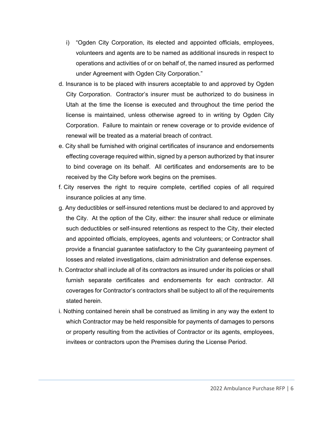- i) "Ogden City Corporation, its elected and appointed officials, employees, volunteers and agents are to be named as additional insureds in respect to operations and activities of or on behalf of, the named insured as performed under Agreement with Ogden City Corporation."
- d. Insurance is to be placed with insurers acceptable to and approved by Ogden City Corporation. Contractor's insurer must be authorized to do business in Utah at the time the license is executed and throughout the time period the license is maintained, unless otherwise agreed to in writing by Ogden City Corporation. Failure to maintain or renew coverage or to provide evidence of renewal will be treated as a material breach of contract.
- e. City shall be furnished with original certificates of insurance and endorsements effecting coverage required within, signed by a person authorized by that insurer to bind coverage on its behalf. All certificates and endorsements are to be received by the City before work begins on the premises.
- f. City reserves the right to require complete, certified copies of all required insurance policies at any time.
- g. Any deductibles or self-insured retentions must be declared to and approved by the City. At the option of the City, either: the insurer shall reduce or eliminate such deductibles or self-insured retentions as respect to the City, their elected and appointed officials, employees, agents and volunteers; or Contractor shall provide a financial guarantee satisfactory to the City guaranteeing payment of losses and related investigations, claim administration and defense expenses.
- h. Contractor shall include all of its contractors as insured under its policies or shall furnish separate certificates and endorsements for each contractor. All coverages for Contractor's contractors shall be subject to all of the requirements stated herein.
- i. Nothing contained herein shall be construed as limiting in any way the extent to which Contractor may be held responsible for payments of damages to persons or property resulting from the activities of Contractor or its agents, employees, invitees or contractors upon the Premises during the License Period.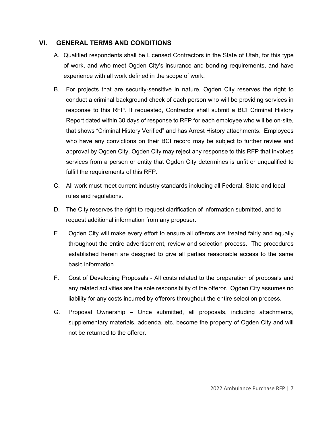## **VI. GENERAL TERMS AND CONDITIONS**

- A. Qualified respondents shall be Licensed Contractors in the State of Utah, for this type of work, and who meet Ogden City's insurance and bonding requirements, and have experience with all work defined in the scope of work.
- B. For projects that are security-sensitive in nature, Ogden City reserves the right to conduct a criminal background check of each person who will be providing services in response to this RFP. If requested, Contractor shall submit a BCI Criminal History Report dated within 30 days of response to RFP for each employee who will be on-site, that shows "Criminal History Verified" and has Arrest History attachments. Employees who have any convictions on their BCI record may be subject to further review and approval by Ogden City. Ogden City may reject any response to this RFP that involves services from a person or entity that Ogden City determines is unfit or unqualified to fulfill the requirements of this RFP.
- C. All work must meet current industry standards including all Federal, State and local rules and regulations.
- D. The City reserves the right to request clarification of information submitted, and to request additional information from any proposer.
- E. Ogden City will make every effort to ensure all offerors are treated fairly and equally throughout the entire advertisement, review and selection process. The procedures established herein are designed to give all parties reasonable access to the same basic information.
- F. Cost of Developing Proposals All costs related to the preparation of proposals and any related activities are the sole responsibility of the offeror. Ogden City assumes no liability for any costs incurred by offerors throughout the entire selection process.
- G. Proposal Ownership Once submitted, all proposals, including attachments, supplementary materials, addenda, etc. become the property of Ogden City and will not be returned to the offeror.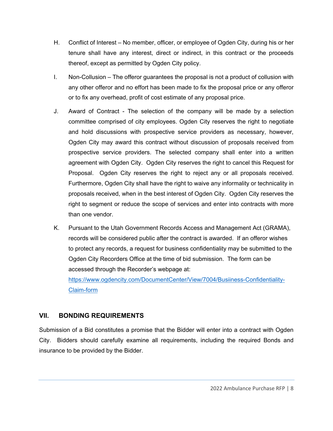- H. Conflict of Interest No member, officer, or employee of Ogden City, during his or her tenure shall have any interest, direct or indirect, in this contract or the proceeds thereof, except as permitted by Ogden City policy.
- I. Non-Collusion The offeror guarantees the proposal is not a product of collusion with any other offeror and no effort has been made to fix the proposal price or any offeror or to fix any overhead, profit of cost estimate of any proposal price.
- J. Award of Contract The selection of the company will be made by a selection committee comprised of city employees. Ogden City reserves the right to negotiate and hold discussions with prospective service providers as necessary, however, Ogden City may award this contract without discussion of proposals received from prospective service providers. The selected company shall enter into a written agreement with Ogden City. Ogden City reserves the right to cancel this Request for Proposal. Ogden City reserves the right to reject any or all proposals received. Furthermore, Ogden City shall have the right to waive any informality or technicality in proposals received, when in the best interest of Ogden City. Ogden City reserves the right to segment or reduce the scope of services and enter into contracts with more than one vendor.
- K. Pursuant to the Utah Government Records Access and Management Act (GRAMA), records will be considered public after the contract is awarded. If an offeror wishes to protect any records, a request for business confidentiality may be submitted to the Ogden City Recorders Office at the time of bid submission. The form can be accessed through the Recorder's webpage at: https://www.ogdencity.com/DocumentCenter/View/7004/Busiiness-Confidentiality-Claim-form

## **VII. BONDING REQUIREMENTS**

Submission of a Bid constitutes a promise that the Bidder will enter into a contract with Ogden City. Bidders should carefully examine all requirements, including the required Bonds and insurance to be provided by the Bidder.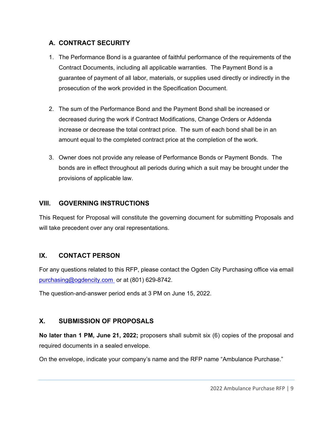# **A. CONTRACT SECURITY**

- 1. The Performance Bond is a guarantee of faithful performance of the requirements of the Contract Documents, including all applicable warranties. The Payment Bond is a guarantee of payment of all labor, materials, or supplies used directly or indirectly in the prosecution of the work provided in the Specification Document.
- 2. The sum of the Performance Bond and the Payment Bond shall be increased or decreased during the work if Contract Modifications, Change Orders or Addenda increase or decrease the total contract price. The sum of each bond shall be in an amount equal to the completed contract price at the completion of the work.
- 3. Owner does not provide any release of Performance Bonds or Payment Bonds. The bonds are in effect throughout all periods during which a suit may be brought under the provisions of applicable law.

# **VIII. GOVERNING INSTRUCTIONS**

This Request for Proposal will constitute the governing document for submitting Proposals and will take precedent over any oral representations.

# **IX. CONTACT PERSON**

For any questions related to this RFP, please contact the Ogden City Purchasing office via email purchasing@ogdencity.com or at (801) 629-8742.

The question-and-answer period ends at 3 PM on June 15, 2022.

# **X. SUBMISSION OF PROPOSALS**

**No later than 1 PM, June 21, 2022;** proposers shall submit six (6) copies of the proposal and required documents in a sealed envelope.

On the envelope, indicate your company's name and the RFP name "Ambulance Purchase."